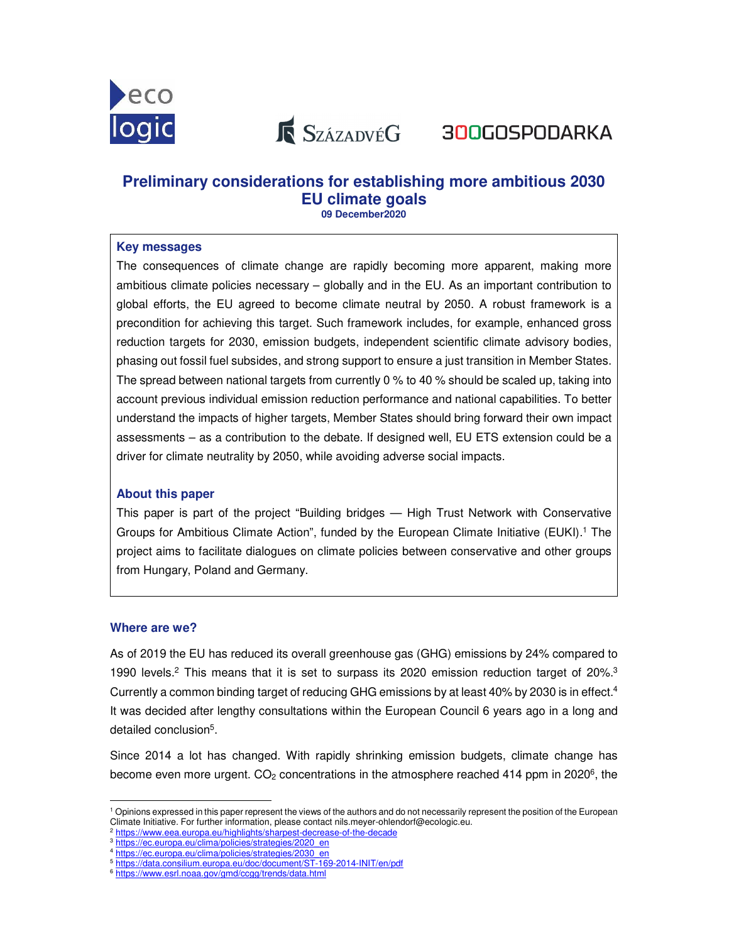

**K** SzázadvéG 300GOSPODARKA

# **Preliminary considerations for establishing more ambitious 2030 EU climate goals**

**09 December2020** 

## **Key messages**

The consequences of climate change are rapidly becoming more apparent, making more ambitious climate policies necessary – globally and in the EU. As an important contribution to global efforts, the EU agreed to become climate neutral by 2050. A robust framework is a precondition for achieving this target. Such framework includes, for example, enhanced gross reduction targets for 2030, emission budgets, independent scientific climate advisory bodies, phasing out fossil fuel subsides, and strong support to ensure a just transition in Member States. The spread between national targets from currently 0 % to 40 % should be scaled up, taking into account previous individual emission reduction performance and national capabilities. To better understand the impacts of higher targets, Member States should bring forward their own impact assessments – as a contribution to the debate. If designed well, EU ETS extension could be a driver for climate neutrality by 2050, while avoiding adverse social impacts.

# **About this paper**

This paper is part of the project "Building bridges — High Trust Network with Conservative Groups for Ambitious Climate Action", funded by the European Climate Initiative (EUKI).<sup>1</sup> The project aims to facilitate dialogues on climate policies between conservative and other groups from Hungary, Poland and Germany.

# **Where are we?**

As of 2019 the EU has reduced its overall greenhouse gas (GHG) emissions by 24% compared to 1990 levels.<sup>2</sup> This means that it is set to surpass its 2020 emission reduction target of 20%.<sup>3</sup> Currently a common binding target of reducing GHG emissions by at least 40% by 2030 is in effect.<sup>4</sup> It was decided after lengthy consultations within the European Council 6 years ago in a long and detailed conclusion<sup>5</sup>.

Since 2014 a lot has changed. With rapidly shrinking emission budgets, climate change has become even more urgent.  $CO<sub>2</sub>$  concentrations in the atmosphere reached 414 ppm in 2020<sup>6</sup>, the

<sup>-</sup>1 Opinions expressed in this paper represent the views of the authors and do not necessarily represent the position of the European Climate Initiative. For further information, please contact nils.meyer-ohlendorf@ecologic.eu.

<sup>2</sup> https://www.eea.europa.eu/highlights/sharpest-decrease-of-the-decade

<sup>&</sup>lt;sup>3</sup> https://ec.europa.eu/clima/policies/strategies/2020\_en <sup>4</sup> https://ec.europa.eu/clima/policies/strategies/2030\_en

<sup>5</sup> https://data.consilium.europa.eu/doc/document/ST-169-2014-INIT/en/pdf

<sup>6</sup> https://www.esrl.noaa.gov/gmd/ccgg/trends/data.html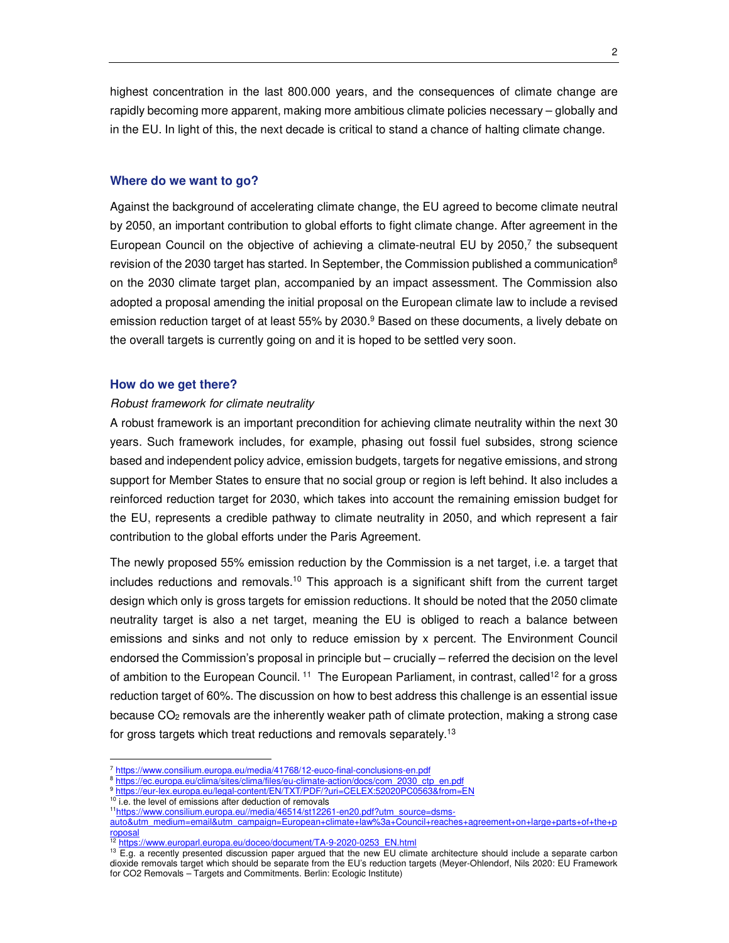highest concentration in the last 800.000 years, and the consequences of climate change are rapidly becoming more apparent, making more ambitious climate policies necessary – globally and in the EU. In light of this, the next decade is critical to stand a chance of halting climate change.

#### **Where do we want to go?**

Against the background of accelerating climate change, the EU agreed to become climate neutral by 2050, an important contribution to global efforts to fight climate change. After agreement in the European Council on the objective of achieving a climate-neutral EU by  $2050$ <sup>7</sup>, the subsequent revision of the 2030 target has started. In September, the Commission published a communication<sup>8</sup> on the 2030 climate target plan, accompanied by an impact assessment. The Commission also adopted a proposal amending the initial proposal on the European climate law to include a revised emission reduction target of at least 55% by 2030.<sup>9</sup> Based on these documents, a lively debate on the overall targets is currently going on and it is hoped to be settled very soon.

#### **How do we get there?**

#### Robust framework for climate neutrality

A robust framework is an important precondition for achieving climate neutrality within the next 30 years. Such framework includes, for example, phasing out fossil fuel subsides, strong science based and independent policy advice, emission budgets, targets for negative emissions, and strong support for Member States to ensure that no social group or region is left behind. It also includes a reinforced reduction target for 2030, which takes into account the remaining emission budget for the EU, represents a credible pathway to climate neutrality in 2050, and which represent a fair contribution to the global efforts under the Paris Agreement.

The newly proposed 55% emission reduction by the Commission is a net target, i.e. a target that includes reductions and removals.<sup>10</sup> This approach is a significant shift from the current target design which only is gross targets for emission reductions. It should be noted that the 2050 climate neutrality target is also a net target, meaning the EU is obliged to reach a balance between emissions and sinks and not only to reduce emission by x percent. The Environment Council endorsed the Commission's proposal in principle but – crucially – referred the decision on the level of ambition to the European Council.<sup>11</sup> The European Parliament, in contrast, called<sup>12</sup> for a gross reduction target of 60%. The discussion on how to best address this challenge is an essential issue because  $CO<sub>2</sub>$  removals are the inherently weaker path of climate protection, making a strong case for gross targets which treat reductions and removals separately.<sup>13</sup>

-

<sup>7</sup> https://www.consilium.europa.eu/media/41768/12-euco-final-conclusions-en.pdf

<sup>8</sup> https://ec.europa.eu/clima/sites/clima/files/eu-climate-action/docs/com\_2030\_ctp\_en.pdf

<sup>9</sup> https://eur-lex.europa.eu/legal-content/EN/TXT/PDF/?uri=CELEX:52020PC0563&from=EN

<sup>&</sup>lt;sup>10</sup> i.e. the level of emissions after deduction of removals

<sup>11</sup>https://www.consilium.europa.eu//media/46514/st12261-en20.pdf?utm\_source=dsms-

auto&utm\_medium=email&utm\_campaign=European+climate+law%3a+Council+reaches+agreement+on+large+parts+of+the+p roposal

<sup>12</sup> https://www.europarl.europa.eu/doceo/document/TA-9-2020-0253\_EN.html

<sup>&</sup>lt;sup>13</sup> E.g. a recently presented discussion paper argued that the new EU climate architecture should include a separate carbon dioxide removals target which should be separate from the EU's reduction targets (Meyer-Ohlendorf, Nils 2020: EU Framework for CO2 Removals – Targets and Commitments. Berlin: Ecologic Institute)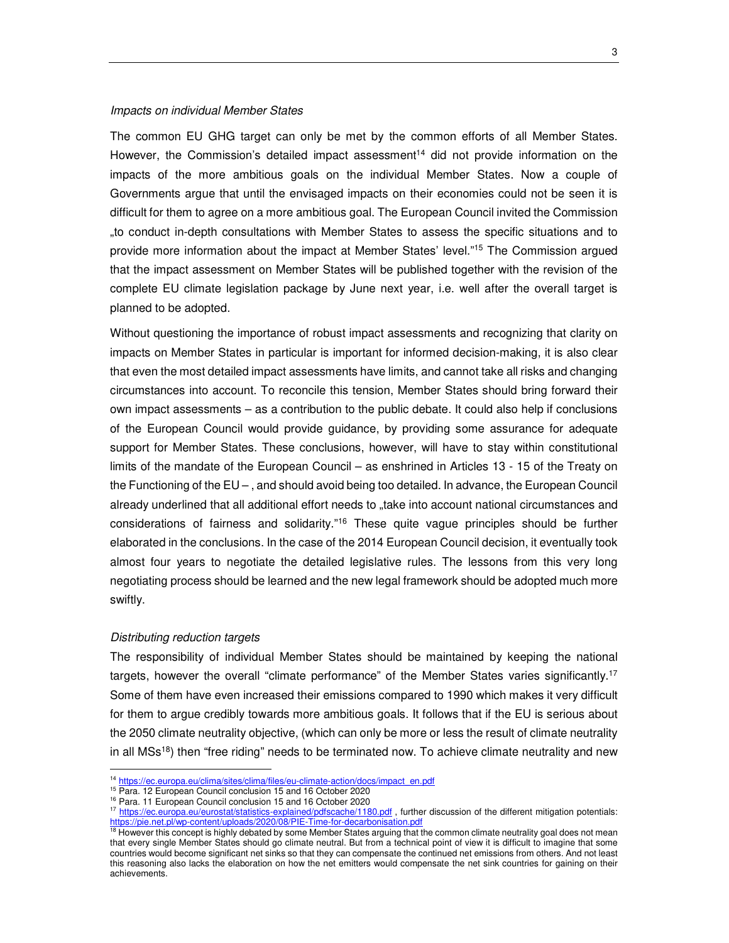## Impacts on individual Member States

The common EU GHG target can only be met by the common efforts of all Member States. However, the Commission's detailed impact assessment<sup>14</sup> did not provide information on the impacts of the more ambitious goals on the individual Member States. Now a couple of Governments argue that until the envisaged impacts on their economies could not be seen it is difficult for them to agree on a more ambitious goal. The European Council invited the Commission "to conduct in-depth consultations with Member States to assess the specific situations and to provide more information about the impact at Member States' level."<sup>15</sup> The Commission argued that the impact assessment on Member States will be published together with the revision of the complete EU climate legislation package by June next year, i.e. well after the overall target is planned to be adopted.

Without questioning the importance of robust impact assessments and recognizing that clarity on impacts on Member States in particular is important for informed decision-making, it is also clear that even the most detailed impact assessments have limits, and cannot take all risks and changing circumstances into account. To reconcile this tension, Member States should bring forward their own impact assessments – as a contribution to the public debate. It could also help if conclusions of the European Council would provide guidance, by providing some assurance for adequate support for Member States. These conclusions, however, will have to stay within constitutional limits of the mandate of the European Council – as enshrined in Articles 13 - 15 of the Treaty on the Functioning of the EU – , and should avoid being too detailed. In advance, the European Council already underlined that all additional effort needs to "take into account national circumstances and considerations of fairness and solidarity."<sup>16</sup> These quite vague principles should be further elaborated in the conclusions. In the case of the 2014 European Council decision, it eventually took almost four years to negotiate the detailed legislative rules. The lessons from this very long negotiating process should be learned and the new legal framework should be adopted much more swiftly.

#### Distributing reduction targets

-

The responsibility of individual Member States should be maintained by keeping the national targets, however the overall "climate performance" of the Member States varies significantly.<sup>17</sup> Some of them have even increased their emissions compared to 1990 which makes it very difficult for them to argue credibly towards more ambitious goals. It follows that if the EU is serious about the 2050 climate neutrality objective, (which can only be more or less the result of climate neutrality in all MSs<sup>18</sup>) then "free riding" needs to be terminated now. To achieve climate neutrality and new

<sup>&</sup>lt;sup>14</sup> https://ec.europa.eu/clima/sites/clima/files/eu-climate-action/docs/impact\_en.pdf

<sup>&</sup>lt;sup>15</sup> Para. 12 European Council conclusion 15 and 16 October 2020

<sup>16</sup> Para. 11 European Council conclusion 15 and 16 October 2020

<sup>&</sup>lt;sup>17</sup> https://ec.europa.eu/eurostat/statistics-explained/pdfscache/1180.pdf, further discussion of the different mitigation potentials: https://pie.net.pl/wp-content/uploads/2020/08/PIE-Time-for-decarbonisation.pdf

<sup>&</sup>lt;sup>18</sup> However this concept is highly debated by some Member States arguing that the common climate neutrality goal does not mean that every single Member States should go climate neutral. But from a technical point of view it is difficult to imagine that some countries would become significant net sinks so that they can compensate the continued net emissions from others. And not least this reasoning also lacks the elaboration on how the net emitters would compensate the net sink countries for gaining on their achievements.